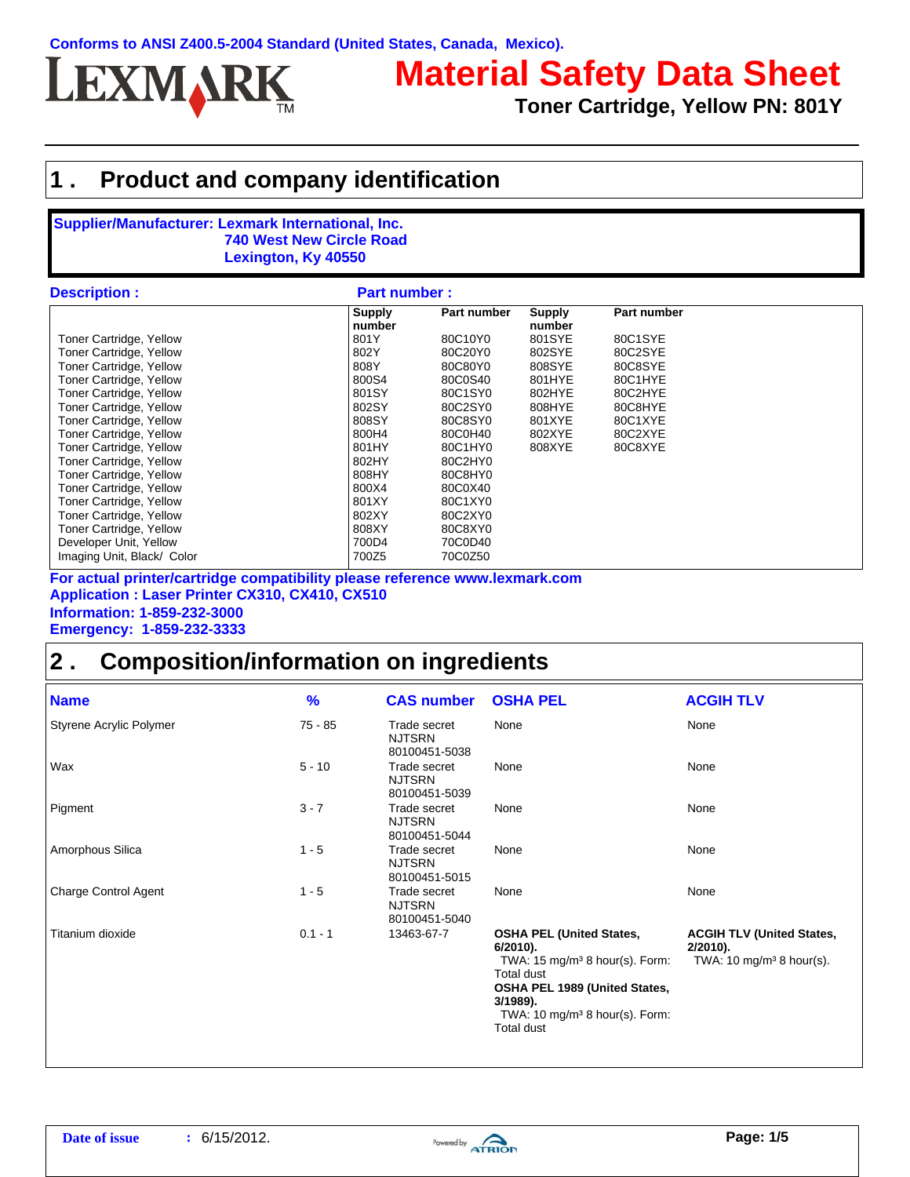

# **Material Safety Data Sheet**

**Toner Cartridge, Yellow PN: 801Y**

## **1 . Product and company identification**

#### **Supplier/Manufacturer: Lexmark International, Inc. 740 West New Circle Road Lexington, Ky 40550**

| <b>Description:</b>            | <b>Part number:</b>     |             |                         |             |
|--------------------------------|-------------------------|-------------|-------------------------|-------------|
|                                | <b>Supply</b><br>number | Part number | <b>Supply</b><br>number | Part number |
| Toner Cartridge, Yellow        | 801Y                    | 80C10Y0     | 801SYE                  | 80C1SYE     |
| Toner Cartridge, Yellow        | 802Y                    | 80C20Y0     | 802SYE                  | 80C2SYE     |
| Toner Cartridge, Yellow        | 808Y                    | 80C80Y0     | 808SYE                  | 80C8SYE     |
| Toner Cartridge, Yellow        | 800S4                   | 80C0S40     | 801HYE                  | 80C1HYE     |
| <b>Toner Cartridge, Yellow</b> | 801SY                   | 80C1SY0     | 802HYE                  | 80C2HYE     |
| <b>Toner Cartridge, Yellow</b> | 802SY                   | 80C2SY0     | 808HYE                  | 80C8HYE     |
| Toner Cartridge, Yellow        | 808SY                   | 80C8SY0     | 801XYE                  | 80C1XYE     |
| Toner Cartridge, Yellow        | 800H4                   | 80C0H40     | 802XYE                  | 80C2XYE     |
| Toner Cartridge, Yellow        | 801HY                   | 80C1HY0     | 808XYE                  | 80C8XYE     |
| <b>Toner Cartridge, Yellow</b> | 802HY                   | 80C2HY0     |                         |             |
| Toner Cartridge, Yellow        | 808HY                   | 80C8HY0     |                         |             |
| <b>Toner Cartridge, Yellow</b> | 800X4                   | 80C0X40     |                         |             |
| Toner Cartridge, Yellow        | 801XY                   | 80C1XY0     |                         |             |
| Toner Cartridge, Yellow        | 802XY                   | 80C2XY0     |                         |             |
| <b>Toner Cartridge, Yellow</b> | 808XY                   | 80C8XY0     |                         |             |
| Developer Unit, Yellow         | 700D4                   | 70C0D40     |                         |             |
| Imaging Unit, Black/ Color     | 700Z5                   | 70C0Z50     |                         |             |
|                                |                         |             |                         |             |

#### **Application : Laser Printer CX310, CX410, CX510 Information: 1-859-232-3000 Emergency: 1-859-232-3333 For actual printer/cartridge compatibility please reference www.lexmark.com**

### **2 . Composition/information on ingredients**

| <b>Name</b>                    | $\frac{9}{6}$ | <b>CAS number</b>                              | <b>OSHA PEL</b>                                                                                                                                                                                                       | <b>ACGIH TLV</b>                                                                        |
|--------------------------------|---------------|------------------------------------------------|-----------------------------------------------------------------------------------------------------------------------------------------------------------------------------------------------------------------------|-----------------------------------------------------------------------------------------|
| <b>Styrene Acrylic Polymer</b> | 75 - 85       | Trade secret<br><b>NJTSRN</b><br>80100451-5038 | None                                                                                                                                                                                                                  | None                                                                                    |
| Wax                            | $5 - 10$      | Trade secret<br><b>NJTSRN</b><br>80100451-5039 | None                                                                                                                                                                                                                  | None                                                                                    |
| Pigment                        | $3 - 7$       | Trade secret<br><b>NJTSRN</b><br>80100451-5044 | None                                                                                                                                                                                                                  | None                                                                                    |
| Amorphous Silica               | $1 - 5$       | Trade secret<br><b>NJTSRN</b><br>80100451-5015 | None                                                                                                                                                                                                                  | None                                                                                    |
| Charge Control Agent           | $1 - 5$       | Trade secret<br><b>NJTSRN</b><br>80100451-5040 | None                                                                                                                                                                                                                  | None                                                                                    |
| Titanium dioxide               | $0.1 - 1$     | 13463-67-7                                     | <b>OSHA PEL (United States,</b><br>6/2010).<br>TWA: $15 \text{ mg/m}^3$ 8 hour(s). Form:<br>Total dust<br>OSHA PEL 1989 (United States,<br>3/1989).<br>TWA: $10 \text{ mg/m}^3$ 8 hour(s). Form:<br><b>Total dust</b> | <b>ACGIH TLV (United States,</b><br>$2/2010$ ).<br>TWA: 10 mg/m <sup>3</sup> 8 hour(s). |

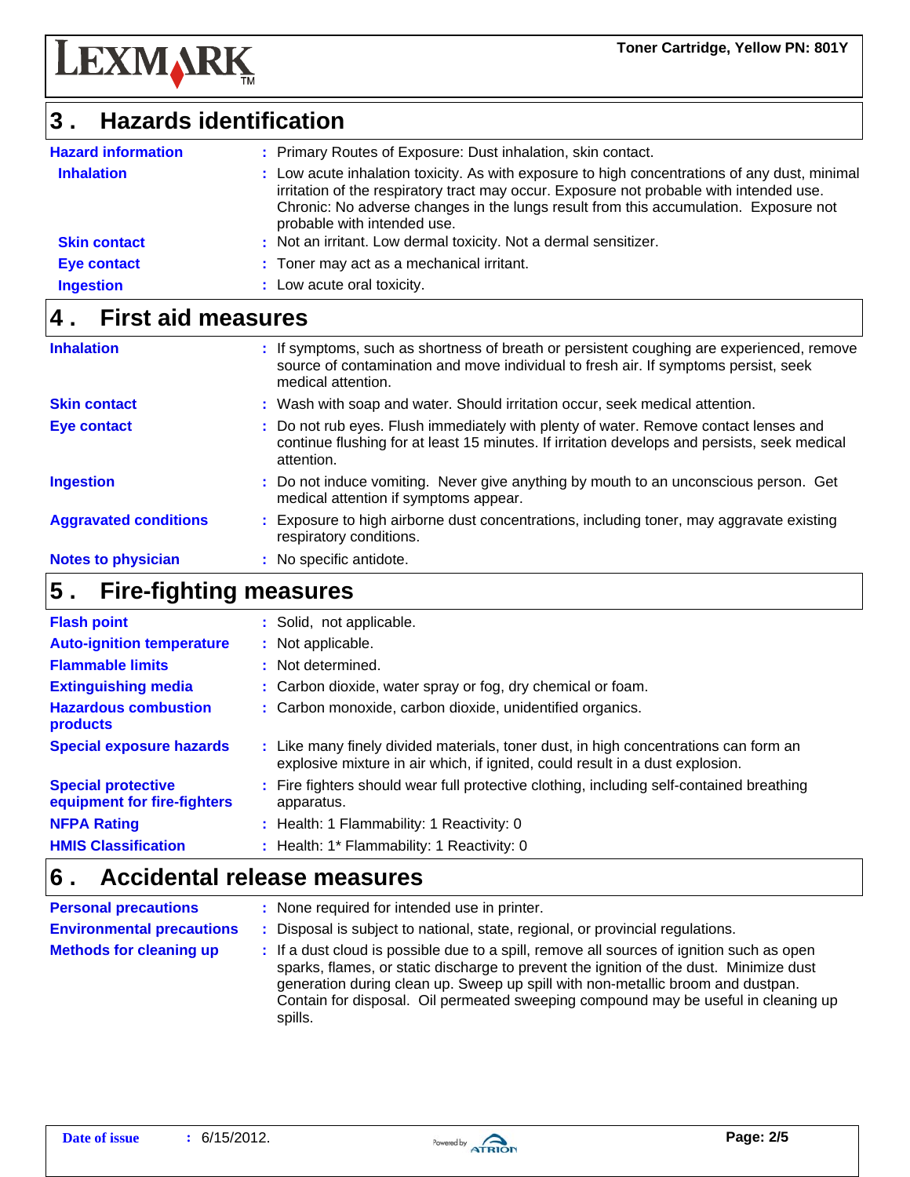

**LEXMARK** 

| <b>Hazard information</b> | : Primary Routes of Exposure: Dust inhalation, skin contact.                                                                                                                                                                                                                                                    |
|---------------------------|-----------------------------------------------------------------------------------------------------------------------------------------------------------------------------------------------------------------------------------------------------------------------------------------------------------------|
| <b>Inhalation</b>         | : Low acute inhalation toxicity. As with exposure to high concentrations of any dust, minimal<br>irritation of the respiratory tract may occur. Exposure not probable with intended use.<br>Chronic: No adverse changes in the lungs result from this accumulation. Exposure not<br>probable with intended use. |
| <b>Skin contact</b>       | : Not an irritant. Low dermal toxicity. Not a dermal sensitizer.                                                                                                                                                                                                                                                |
| <b>Eye contact</b>        | : Toner may act as a mechanical irritant.                                                                                                                                                                                                                                                                       |
| <b>Ingestion</b>          | : Low acute oral toxicity.                                                                                                                                                                                                                                                                                      |

## **4 . First aid measures**

| <b>Inhalation</b>            | : If symptoms, such as shortness of breath or persistent coughing are experienced, remove<br>source of contamination and move individual to fresh air. If symptoms persist, seek<br>medical attention. |
|------------------------------|--------------------------------------------------------------------------------------------------------------------------------------------------------------------------------------------------------|
| <b>Skin contact</b>          | : Wash with soap and water. Should irritation occur, seek medical attention.                                                                                                                           |
| Eye contact                  | : Do not rub eyes. Flush immediately with plenty of water. Remove contact lenses and<br>continue flushing for at least 15 minutes. If irritation develops and persists, seek medical<br>attention.     |
| <b>Ingestion</b>             | : Do not induce vomiting. Never give anything by mouth to an unconscious person. Get<br>medical attention if symptoms appear.                                                                          |
| <b>Aggravated conditions</b> | : Exposure to high airborne dust concentrations, including toner, may aggravate existing<br>respiratory conditions.                                                                                    |
| <b>Notes to physician</b>    | : No specific antidote.                                                                                                                                                                                |

#### **Fire-fighting measures 5 .**

| <b>Flash point</b>                                       | : Solid, not applicable.                                                                                                                                              |  |
|----------------------------------------------------------|-----------------------------------------------------------------------------------------------------------------------------------------------------------------------|--|
| <b>Auto-ignition temperature</b>                         | : Not applicable.                                                                                                                                                     |  |
| <b>Flammable limits</b>                                  | : Not determined.                                                                                                                                                     |  |
| <b>Extinguishing media</b>                               | : Carbon dioxide, water spray or fog, dry chemical or foam.                                                                                                           |  |
| <b>Hazardous combustion</b><br>products                  | : Carbon monoxide, carbon dioxide, unidentified organics.                                                                                                             |  |
| <b>Special exposure hazards</b>                          | : Like many finely divided materials, toner dust, in high concentrations can form an<br>explosive mixture in air which, if ignited, could result in a dust explosion. |  |
| <b>Special protective</b><br>equipment for fire-fighters | : Fire fighters should wear full protective clothing, including self-contained breathing<br>apparatus.                                                                |  |
| <b>NFPA Rating</b>                                       | : Health: 1 Flammability: 1 Reactivity: 0                                                                                                                             |  |
| <b>HMIS Classification</b>                               | : Health: 1* Flammability: 1 Reactivity: 0                                                                                                                            |  |

#### **Accidental release measures 6 .**

spills.

| <b>Personal precautions</b>      | : None required for intended use in printer.                                                                                                                                                                                                                                                                                                                 |
|----------------------------------|--------------------------------------------------------------------------------------------------------------------------------------------------------------------------------------------------------------------------------------------------------------------------------------------------------------------------------------------------------------|
| <b>Environmental precautions</b> | Disposal is subject to national, state, regional, or provincial regulations.                                                                                                                                                                                                                                                                                 |
| <b>Methods for cleaning up</b>   | : If a dust cloud is possible due to a spill, remove all sources of ignition such as open<br>sparks, flames, or static discharge to prevent the ignition of the dust. Minimize dust<br>generation during clean up. Sweep up spill with non-metallic broom and dustpan.<br>Contain for disposal. Oil permeated sweeping compound may be useful in cleaning up |

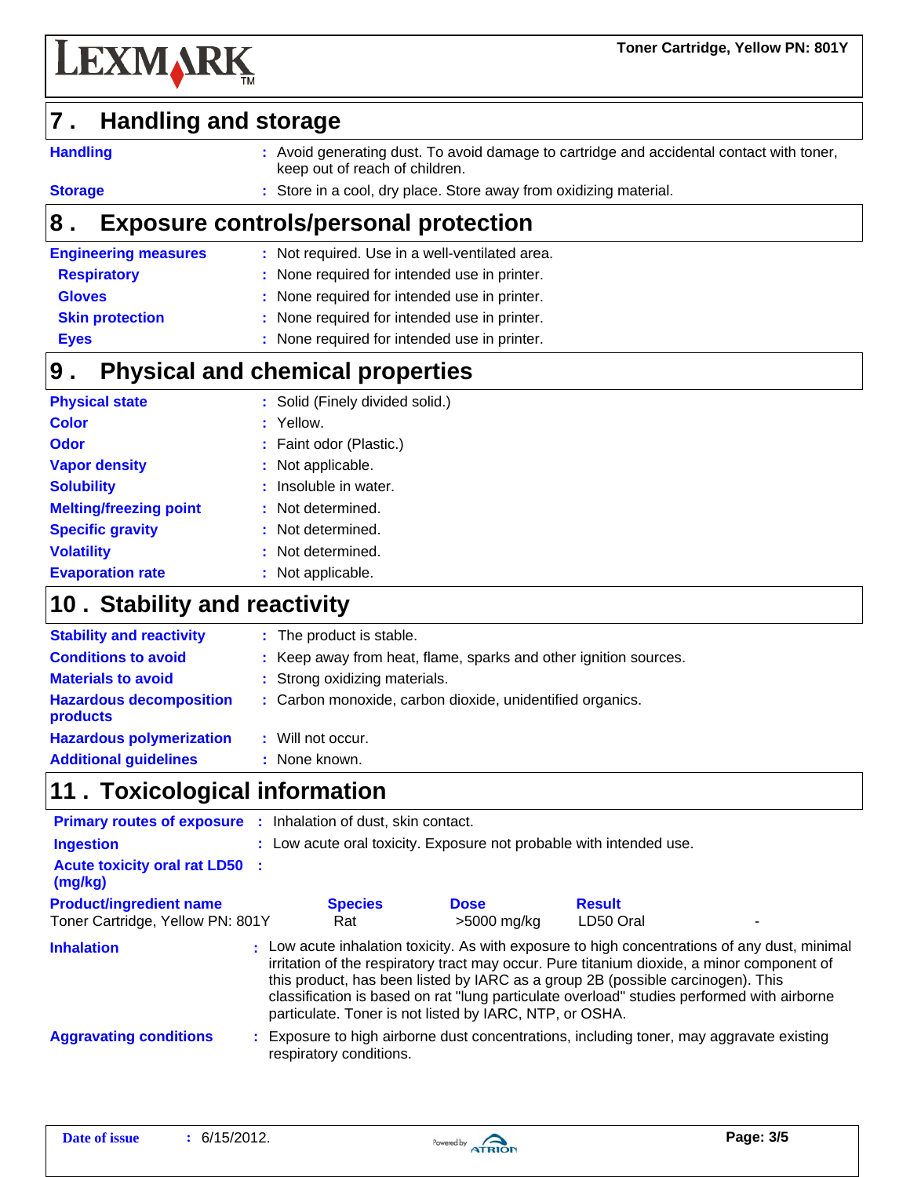

#### **Handling and storage 7 .**

**Handling**

**:** Avoid generating dust. To avoid damage to cartridge and accidental contact with toner, keep out of reach of children.

**Storage**

**:** Store in a cool, dry place. Store away from oxidizing material.

### **8 . Exposure controls/personal protection**

| <b>Engineering measures</b> | : Not required. Use in a well-ventilated area. |
|-----------------------------|------------------------------------------------|
| <b>Respiratory</b>          | : None required for intended use in printer.   |
| <b>Gloves</b>               | : None required for intended use in printer.   |
| <b>Skin protection</b>      | : None required for intended use in printer.   |
| <b>Eyes</b>                 | : None required for intended use in printer.   |

#### **Physical and chemical properties 9 .**

| <b>Physical state</b>         | : Solid (Finely divided solid.) |
|-------------------------------|---------------------------------|
| <b>Color</b>                  | : Yellow.                       |
| Odor                          | : Faint odor (Plastic.)         |
| <b>Vapor density</b>          | : Not applicable.               |
| <b>Solubility</b>             | : Insoluble in water.           |
| <b>Melting/freezing point</b> | : Not determined.               |
| <b>Specific gravity</b>       | : Not determined.               |
| <b>Volatility</b>             | : Not determined.               |
| <b>Evaporation rate</b>       | : Not applicable.               |

### 10 . Stability and reactivity

| <b>Stability and reactivity</b>            | : The product is stable.                                         |
|--------------------------------------------|------------------------------------------------------------------|
| <b>Conditions to avoid</b>                 | : Keep away from heat, flame, sparks and other ignition sources. |
| <b>Materials to avoid</b>                  | : Strong oxidizing materials.                                    |
| <b>Hazardous decomposition</b><br>products | : Carbon monoxide, carbon dioxide, unidentified organics.        |
| <b>Hazardous polymerization</b>            | : Will not occur.                                                |
| <b>Additional guidelines</b>               | : None known.                                                    |
|                                            |                                                                  |

## **11 . Toxicological information**

| <b>Primary routes of exposure :</b> Inhalation of dust, skin contact. |                                                                                                                                                                                                                                                                                                                                                                                                                                         |             |                                                                                          |
|-----------------------------------------------------------------------|-----------------------------------------------------------------------------------------------------------------------------------------------------------------------------------------------------------------------------------------------------------------------------------------------------------------------------------------------------------------------------------------------------------------------------------------|-------------|------------------------------------------------------------------------------------------|
| <b>Ingestion</b>                                                      | : Low acute oral toxicity. Exposure not probable with intended use.                                                                                                                                                                                                                                                                                                                                                                     |             |                                                                                          |
| <b>Acute toxicity oral rat LD50 :</b><br>(mg/kg)                      |                                                                                                                                                                                                                                                                                                                                                                                                                                         |             |                                                                                          |
| <b>Product/ingredient name</b>                                        | <b>Species</b>                                                                                                                                                                                                                                                                                                                                                                                                                          | <b>Dose</b> | <b>Result</b>                                                                            |
| Toner Cartridge, Yellow PN: 801Y                                      | Rat                                                                                                                                                                                                                                                                                                                                                                                                                                     | >5000 mg/kg | LD50 Oral                                                                                |
| <b>Inhalation</b>                                                     | : Low acute inhalation toxicity. As with exposure to high concentrations of any dust, minimal<br>irritation of the respiratory tract may occur. Pure titanium dioxide, a minor component of<br>this product, has been listed by IARC as a group 2B (possible carcinogen). This<br>classification is based on rat "lung particulate overload" studies performed with airborne<br>particulate. Toner is not listed by IARC, NTP, or OSHA. |             |                                                                                          |
| <b>Aggravating conditions</b>                                         | respiratory conditions.                                                                                                                                                                                                                                                                                                                                                                                                                 |             | : Exposure to high airborne dust concentrations, including toner, may aggravate existing |

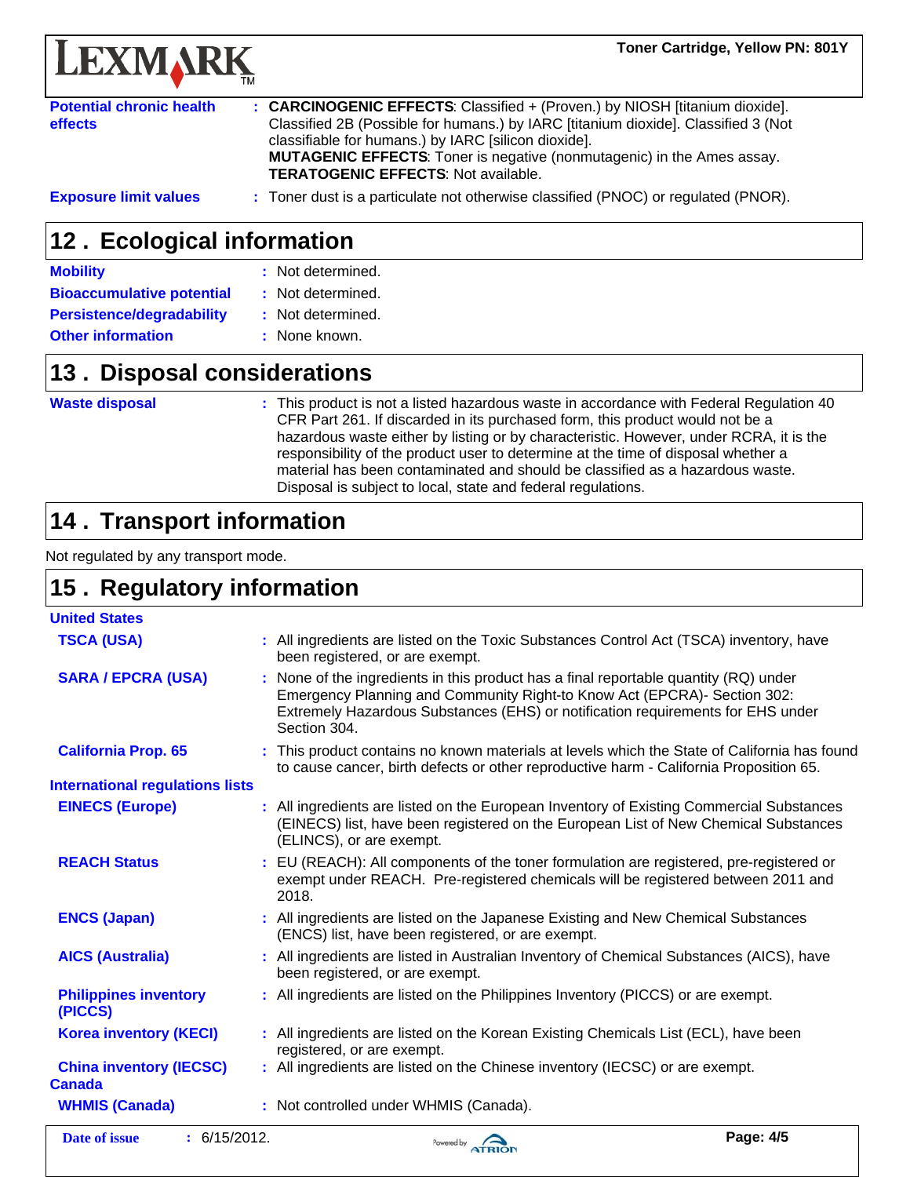

| <b>Potential chronic health</b><br><b>effects</b> | : CARCINOGENIC EFFECTS: Classified + (Proven.) by NIOSH [titanium dioxide].<br>Classified 2B (Possible for humans.) by IARC [titanium dioxide]. Classified 3 (Not<br>classifiable for humans.) by IARC [silicon dioxide].<br><b>MUTAGENIC EFFECTS:</b> Toner is negative (nonmutagenic) in the Ames assay.<br><b>TERATOGENIC EFFECTS: Not available.</b> |
|---------------------------------------------------|----------------------------------------------------------------------------------------------------------------------------------------------------------------------------------------------------------------------------------------------------------------------------------------------------------------------------------------------------------|
| <b>Exposure limit values</b>                      | : Toner dust is a particulate not otherwise classified (PNOC) or regulated (PNOR).                                                                                                                                                                                                                                                                       |

### 12. Ecological information

| <b>Mobility</b>                  | : Not determined. |
|----------------------------------|-------------------|
| <b>Bioaccumulative potential</b> | : Not determined. |
| <b>Persistence/degradability</b> | : Not determined. |
| <b>Other information</b>         | : None known.     |

### **13. Disposal considerations**

#### **Waste disposal**

**:** This product is not a listed hazardous waste in accordance with Federal Regulation 40 CFR Part 261. If discarded in its purchased form, this product would not be a hazardous waste either by listing or by characteristic. However, under RCRA, it is the responsibility of the product user to determine at the time of disposal whether a material has been contaminated and should be classified as a hazardous waste. Disposal is subject to local, state and federal regulations.

## **14 . Transport information**

Not regulated by any transport mode.

## **15. Regulatory information**

| <b>United States</b>                            |                                                                                                                                                                                                                                                                     |
|-------------------------------------------------|---------------------------------------------------------------------------------------------------------------------------------------------------------------------------------------------------------------------------------------------------------------------|
| <b>TSCA (USA)</b>                               | : All ingredients are listed on the Toxic Substances Control Act (TSCA) inventory, have<br>been registered, or are exempt.                                                                                                                                          |
| <b>SARA / EPCRA (USA)</b>                       | : None of the ingredients in this product has a final reportable quantity (RQ) under<br>Emergency Planning and Community Right-to Know Act (EPCRA)- Section 302:<br>Extremely Hazardous Substances (EHS) or notification requirements for EHS under<br>Section 304. |
| <b>California Prop. 65</b>                      | : This product contains no known materials at levels which the State of California has found<br>to cause cancer, birth defects or other reproductive harm - California Proposition 65.                                                                              |
| <b>International regulations lists</b>          |                                                                                                                                                                                                                                                                     |
| <b>EINECS (Europe)</b>                          | : All ingredients are listed on the European Inventory of Existing Commercial Substances<br>(EINECS) list, have been registered on the European List of New Chemical Substances<br>(ELINCS), or are exempt.                                                         |
| <b>REACH Status</b>                             | : EU (REACH): All components of the toner formulation are registered, pre-registered or<br>exempt under REACH. Pre-registered chemicals will be registered between 2011 and<br>2018.                                                                                |
| <b>ENCS (Japan)</b>                             | : All ingredients are listed on the Japanese Existing and New Chemical Substances<br>(ENCS) list, have been registered, or are exempt.                                                                                                                              |
| <b>AICS (Australia)</b>                         | : All ingredients are listed in Australian Inventory of Chemical Substances (AICS), have<br>been registered, or are exempt.                                                                                                                                         |
| <b>Philippines inventory</b><br>(PICCS)         | : All ingredients are listed on the Philippines Inventory (PICCS) or are exempt.                                                                                                                                                                                    |
| <b>Korea inventory (KECI)</b>                   | : All ingredients are listed on the Korean Existing Chemicals List (ECL), have been<br>registered, or are exempt.                                                                                                                                                   |
| <b>China inventory (IECSC)</b><br><b>Canada</b> | : All ingredients are listed on the Chinese inventory (IECSC) or are exempt.                                                                                                                                                                                        |
| <b>WHMIS (Canada)</b>                           | : Not controlled under WHMIS (Canada).                                                                                                                                                                                                                              |